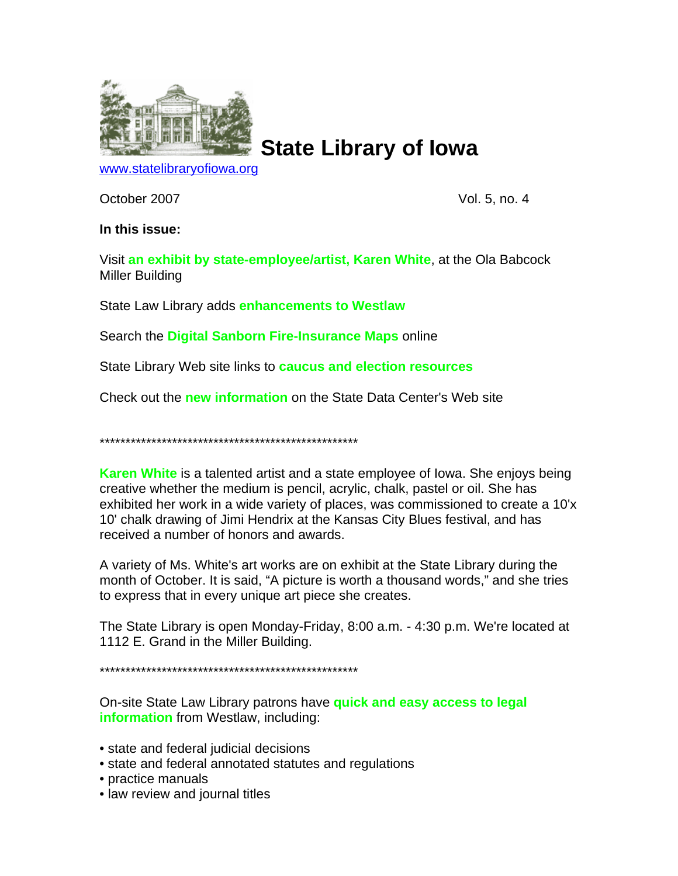

**State Library of Iowa**

[www.statelibraryofiowa.org](http://www.statelibraryofiowa.org/)

October 2007 Vol. 5, no. 4

## **In this issue:**

Visit **an exhibit by state-employee/artist, Karen White**, at the Ola Babcock Miller Building

State Law Library adds **enhancements to Westlaw**

Search the **Digital Sanborn Fire-Insurance Maps** online

State Library Web site links to **caucus and election resources**

Check out the **new information** on the State Data Center's Web site

\*\*\*\*\*\*\*\*\*\*\*\*\*\*\*\*\*\*\*\*\*\*\*\*\*\*\*\*\*\*\*\*\*\*\*\*\*\*\*\*\*\*\*\*\*\*\*\*\*\*

**Karen White** is a talented artist and a state employee of Iowa. She enjoys being creative whether the medium is pencil, acrylic, chalk, pastel or oil. She has exhibited her work in a wide variety of places, was commissioned to create a 10'x 10' chalk drawing of Jimi Hendrix at the Kansas City Blues festival, and has received a number of honors and awards.

A variety of Ms. White's art works are on exhibit at the State Library during the month of October. It is said, "A picture is worth a thousand words," and she tries to express that in every unique art piece she creates.

The State Library is open Monday-Friday, 8:00 a.m. - 4:30 p.m. We're located at 1112 E. Grand in the Miller Building.

\*\*\*\*\*\*\*\*\*\*\*\*\*\*\*\*\*\*\*\*\*\*\*\*\*\*\*\*\*\*\*\*\*\*\*\*\*\*\*\*\*\*\*\*\*\*\*\*\*\*

On-site State Law Library patrons have **quick and easy access to legal information** from Westlaw, including:

- state and federal judicial decisions
- state and federal annotated statutes and regulations
- practice manuals
- law review and journal titles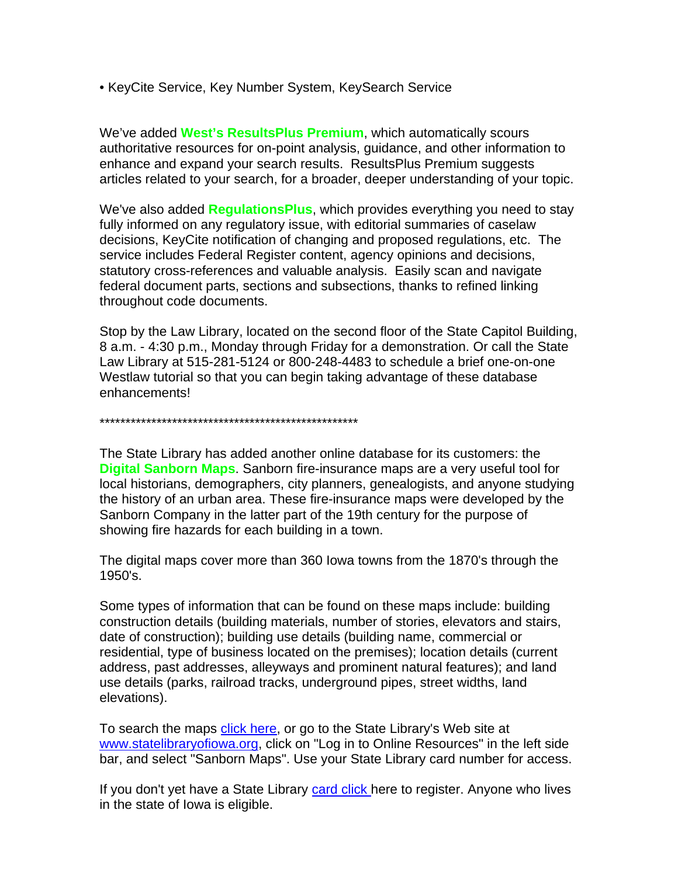• KeyCite Service, Key Number System, KeySearch Service

We've added **West's ResultsPlus Premium**, which automatically scours authoritative resources for on-point analysis, guidance, and other information to enhance and expand your search results. ResultsPlus Premium suggests articles related to your search, for a broader, deeper understanding of your topic.

We've also added **RegulationsPlus**, which provides everything you need to stay fully informed on any regulatory issue, with editorial summaries of caselaw decisions, KeyCite notification of changing and proposed regulations, etc. The service includes Federal Register content, agency opinions and decisions, statutory cross-references and valuable analysis. Easily scan and navigate federal document parts, sections and subsections, thanks to refined linking throughout code documents.

Stop by the Law Library, located on the second floor of the State Capitol Building, 8 a.m. - 4:30 p.m., Monday through Friday for a demonstration. Or call the State Law Library at 515-281-5124 or 800-248-4483 to schedule a brief one-on-one Westlaw tutorial so that you can begin taking advantage of these database enhancements!

\*\*\*\*\*\*\*\*\*\*\*\*\*\*\*\*\*\*\*\*\*\*\*\*\*\*\*\*\*\*\*\*\*\*\*\*\*\*\*\*\*\*\*\*\*\*\*\*\*\*

The State Library has added another online database for its customers: the **Digital Sanborn Maps**. Sanborn fire-insurance maps are a very useful tool for local historians, demographers, city planners, genealogists, and anyone studying the history of an urban area. These fire-insurance maps were developed by the Sanborn Company in the latter part of the 19th century for the purpose of showing fire hazards for each building in a town.

The digital maps cover more than 360 Iowa towns from the 1870's through the 1950's.

Some types of information that can be found on these maps include: building construction details (building materials, number of stories, elevators and stairs, date of construction); building use details (building name, commercial or residential, type of business located on the premises); location details (current address, past addresses, alleyways and prominent natural features); and land use details (parks, railroad tracks, underground pipes, street widths, land elevations).

To search the maps [click here](http://www.statelibraryofiowa.org/services/resources/sanborn-login), or go to the State Library's Web site at [www.statelibraryofiowa.org](http://www.statelibraryofiowa.org/), click on "Log in to Online Resources" in the left side bar, and select "Sanborn Maps". Use your State Library card number for access.

If you don't yet have a State Library [card click](http://www.statelibraryofiowa.org/services/state-library-card/index) here to register. Anyone who lives in the state of Iowa is eligible.